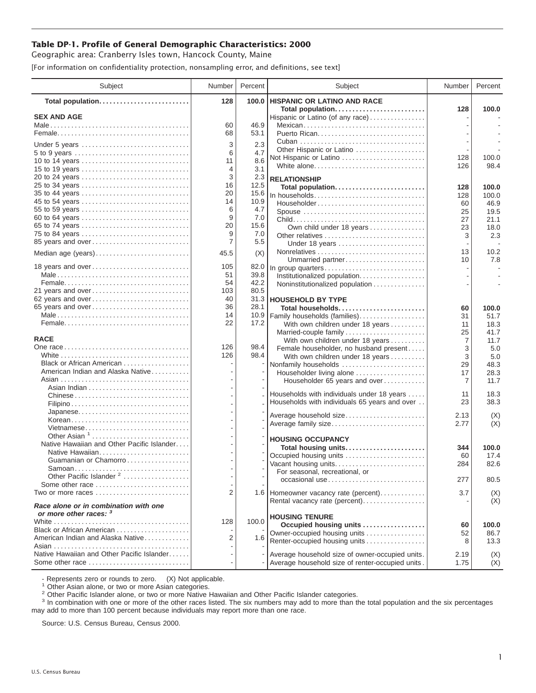## **Table DP-1. Profile of General Demographic Characteristics: 2000**

Geographic area: Cranberry Isles town, Hancock County, Maine

[For information on confidentiality protection, nonsampling error, and definitions, see text]

| Subject                                                         | Number         | Percent      | Subject                                                                         | Number   | Percent      |
|-----------------------------------------------------------------|----------------|--------------|---------------------------------------------------------------------------------|----------|--------------|
| Total population                                                | 128            | 100.0        | <b>HISPANIC OR LATINO AND RACE</b>                                              |          |              |
| <b>SEX AND AGE</b>                                              |                |              | Total population<br>Hispanic or Latino (of any race)                            | 128      | 100.0        |
|                                                                 | 60             | 46.9         | Mexican                                                                         |          |              |
|                                                                 | 68             | 53.1         |                                                                                 |          |              |
| Under 5 years                                                   | 3              | 2.3          |                                                                                 |          |              |
| 5 to 9 years                                                    | 6              | 4.7          | Other Hispanic or Latino                                                        |          |              |
| 10 to 14 years                                                  | 11             | 8.6          | Not Hispanic or Latino                                                          | 128      | 100.0        |
| 15 to 19 years                                                  | 4              | 3.1          | White alone                                                                     | 126      | 98.4         |
| 20 to 24 years                                                  | 3              | 2.3          | <b>RELATIONSHIP</b>                                                             |          |              |
| 25 to 34 years                                                  | 16             | 12.5         | Total population                                                                | 128      | 100.0        |
| 35 to 44 years                                                  | 20             | 15.6         | In households                                                                   | 128      | 100.0        |
| 45 to 54 years                                                  | 14             | 10.9         | $Householder \dots \dots \dots \dots \dots \dots \dots \dots \dots \dots \dots$ | 60       | 46.9         |
| 55 to 59 years                                                  | 6<br>9         | 4.7          | Spouse                                                                          | 25       | 19.5         |
| 60 to 64 years<br>65 to 74 years                                | 20             | 7.0<br>15.6  |                                                                                 | 27       | 21.1         |
| 75 to 84 years                                                  | 9              | 7.0          | Own child under 18 years                                                        | 23       | 18.0         |
| 85 years and over                                               | $\overline{7}$ | 5.5          | Other relatives<br>Under 18 years                                               | 3        | 2.3          |
|                                                                 |                |              |                                                                                 | 13       | 10.2         |
| Median age (years)                                              | 45.5           | (X)          | Unmarried partner                                                               | 10       | 7.8          |
| 18 years and over                                               | 105            | 82.0         | In group quarters                                                               |          |              |
|                                                                 | 51             | 39.8         | Institutionalized population                                                    |          |              |
|                                                                 | 54             | 42.2         | Noninstitutionalized population                                                 |          |              |
| 21 years and over                                               | 103            | 80.5         |                                                                                 |          |              |
| 62 years and over                                               | 40             |              | 31.3 HOUSEHOLD BY TYPE                                                          |          |              |
| 65 years and over                                               | 36             | 28.1         | Total households                                                                | 60       | 100.0        |
|                                                                 | 14<br>22       | 10.9<br>17.2 | Family households (families)                                                    | 31       | 51.7         |
|                                                                 |                |              | With own children under 18 years                                                | 11<br>25 | 18.3<br>41.7 |
| <b>RACE</b>                                                     |                |              | Married-couple family<br>With own children under 18 years                       | 7        | 11.7         |
|                                                                 | 126            | 98.4         | Female householder, no husband present                                          | 3        | 5.0          |
|                                                                 | 126            | 98.4         | With own children under 18 years                                                | 3        | 5.0          |
| Black or African American                                       |                |              | Nonfamily households                                                            | 29       | 48.3         |
| American Indian and Alaska Native                               |                |              | Householder living alone                                                        | 17       | 28.3         |
|                                                                 |                |              | Householder 65 years and over                                                   | 7        | 11.7         |
|                                                                 |                |              | Households with individuals under 18 years                                      | 11       | 18.3         |
|                                                                 |                |              | Households with individuals 65 years and over                                   | 23       | 38.3         |
| Japanese                                                        |                |              |                                                                                 |          |              |
| Korean                                                          |                |              | Average household size                                                          | 2.13     | (X)          |
| Vietnamese                                                      |                |              | Average family size                                                             | 2.77     | (X)          |
| Other Asian <sup>1</sup>                                        |                |              | <b>HOUSING OCCUPANCY</b>                                                        |          |              |
| Native Hawaiian and Other Pacific Islander                      |                |              | Total housing units                                                             | 344      | 100.0        |
| Native Hawaiian                                                 |                |              | Occupied housing units                                                          | 60       | 17.4         |
| Guamanian or Chamorro                                           |                |              | Vacant housing units                                                            | 284      | 82.6         |
| Samoan                                                          |                |              | For seasonal, recreational, or                                                  |          |              |
| Other Pacific Islander <sup>2</sup><br>Some other race          |                |              | occasional use                                                                  | 277      | 80.5         |
| Two or more races                                               | 2              |              | 1.6 Homeowner vacancy rate (percent)                                            | 3.7      |              |
|                                                                 |                |              | Rental vacancy rate (percent)                                                   |          | (X)<br>(X)   |
| Race alone or in combination with one<br>or more other races: 3 |                |              | <b>HOUSING TENURE</b>                                                           |          |              |
|                                                                 | 128            | 100.0        | Occupied housing units                                                          | 60       | 100.0        |
| Black or African American                                       |                |              | Owner-occupied housing units                                                    | 52       | 86.7         |
| American Indian and Alaska Native                               | 2              | 1.6          | Renter-occupied housing units                                                   | 8        | 13.3         |
|                                                                 |                |              |                                                                                 |          |              |
| Native Hawaiian and Other Pacific Islander                      |                |              | Average household size of owner-occupied units.                                 | 2.19     | (X)          |
| Some other race                                                 |                |              | Average household size of renter-occupied units.                                | 1.75     | (X)          |

- Represents zero or rounds to zero. (X) Not applicable.<br><sup>1</sup> Other Asian alone, or two or more Asian categories.

<sup>2</sup> Other Pacific Islander alone, or two or more Native Hawaiian and Other Pacific Islander categories.<br><sup>3</sup> In combination with one or more of the other races listed. The six numbers may add to more than the total populati may add to more than 100 percent because individuals may report more than one race.

Source: U.S. Census Bureau, Census 2000.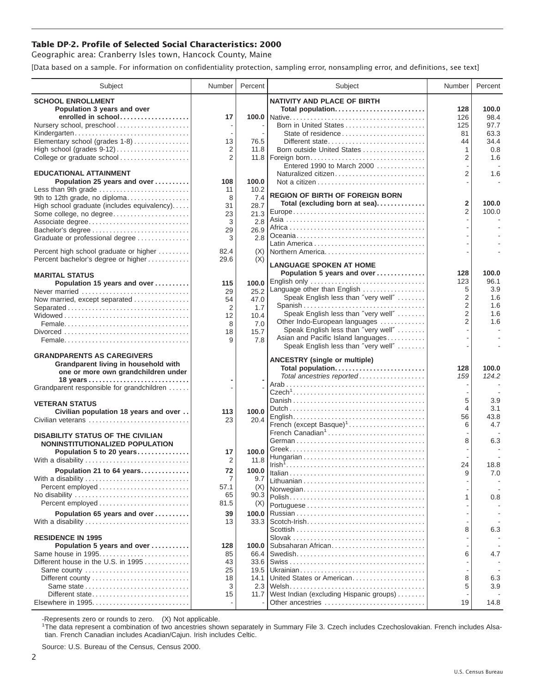## **Table DP-2. Profile of Selected Social Characteristics: 2000**

Geographic area: Cranberry Isles town, Hancock County, Maine

[Data based on a sample. For information on confidentiality protection, sampling error, nonsampling error, and definitions, see text]

| Subject                                                                     | Number         | Percent     | Subject                                                            | Number         | Percent      |
|-----------------------------------------------------------------------------|----------------|-------------|--------------------------------------------------------------------|----------------|--------------|
| <b>SCHOOL ENROLLMENT</b>                                                    |                |             | <b>NATIVITY AND PLACE OF BIRTH</b>                                 |                |              |
| Population 3 years and over                                                 |                |             | Total population                                                   | 128            | 100.0        |
| enrolled in school                                                          | 17             |             |                                                                    | 126            | 98.4         |
| Nursery school, preschool                                                   |                |             | Born in United States                                              | 125            | 97.7         |
| Kindergarten<br>Elementary school (grades 1-8)                              | 13             | 76.5        | State of residence<br>Different state                              | 81<br>44       | 63.3<br>34.4 |
| High school (grades 9-12)                                                   | $\overline{2}$ | 11.8        | Born outside United States                                         | 1              | 0.8          |
| College or graduate school                                                  | 2              |             |                                                                    | 2              | 1.6          |
|                                                                             |                |             | Entered 1990 to March 2000                                         |                |              |
| <b>EDUCATIONAL ATTAINMENT</b>                                               |                |             | Naturalized citizen                                                | $\overline{2}$ | 1.6          |
| Population 25 years and over                                                | 108            | 100.0       |                                                                    |                |              |
| Less than 9th grade                                                         | 11             | 10.2        | <b>REGION OF BIRTH OF FOREIGN BORN</b>                             |                |              |
| 9th to 12th grade, no diploma                                               | 8              | 7.4<br>28.7 | Total (excluding born at sea)                                      | 2              | 100.0        |
| High school graduate (includes equivalency)<br>Some college, no degree      | 31<br>23       | 21.3        |                                                                    | $\overline{2}$ | 100.0        |
| Associate degree                                                            | 3              | 2.8         |                                                                    |                |              |
| Bachelor's degree                                                           | 29             | 26.9        |                                                                    |                |              |
| Graduate or professional degree                                             | 3              | 2.8         |                                                                    |                |              |
| Percent high school graduate or higher                                      | 82.4           | (X)         | Northern America                                                   |                |              |
| Percent bachelor's degree or higher                                         | 29.6           | (X)         |                                                                    |                |              |
|                                                                             |                |             | <b>LANGUAGE SPOKEN AT HOME</b>                                     |                |              |
| <b>MARITAL STATUS</b>                                                       |                |             | Population 5 years and over                                        | 128            | 100.0        |
| Population 15 years and over                                                | 115            | 100.0       | English only                                                       | 123            | 96.1         |
| Never married                                                               | 29             | 25.2        | Language other than English<br>Speak English less than "very well" | 5<br>2         | 3.9<br>1.6   |
| Now married, except separated                                               | 54             | 47.0        |                                                                    | $\overline{2}$ | 1.6          |
| Separated                                                                   | 2<br>12        | 1.7<br>10.4 | Speak English less than "very well"                                | 2              | 1.6          |
|                                                                             | 8              | 7.0         | Other Indo-European languages                                      | $\overline{2}$ | 1.6          |
|                                                                             | 18             | 15.7        | Speak English less than "very well"                                |                |              |
|                                                                             | 9              | 7.8         | Asian and Pacific Island languages                                 |                |              |
|                                                                             |                |             | Speak English less than "very well"                                |                |              |
| <b>GRANDPARENTS AS CAREGIVERS</b>                                           |                |             | <b>ANCESTRY (single or multiple)</b>                               |                |              |
| Grandparent living in household with<br>one or more own grandchildren under |                |             | Total population                                                   | 128            | 100.0        |
| 18 years                                                                    |                |             | Total ancestries reported                                          | 159            | 124.2        |
| Grandparent responsible for grandchildren                                   |                |             |                                                                    |                |              |
|                                                                             |                |             |                                                                    | 5              |              |
| <b>VETERAN STATUS</b>                                                       |                |             |                                                                    | 4              | 3.9<br>3.1   |
| Civilian population 18 years and over                                       | 113            | 100.0       |                                                                    | 56             | 43.8         |
| Civilian veterans                                                           | 23             | 20.4        | French (except Basque) <sup>1</sup>                                | 6              | 4.7          |
| <b>DISABILITY STATUS OF THE CIVILIAN</b>                                    |                |             | French Canadian <sup>1</sup>                                       |                |              |
| NONINSTITUTIONALIZED POPULATION                                             |                |             |                                                                    | 8              | 6.3          |
| Population 5 to 20 years                                                    | 17             | 100.0       |                                                                    |                |              |
| With a disability                                                           | 2              | 11.8        |                                                                    | 24             | 18.8         |
| Population 21 to 64 years                                                   | 72             | 100.0       |                                                                    | 9              | 7.0          |
| With a disability                                                           | 7              | 9.7         |                                                                    |                |              |
| Percent employed                                                            | 57.1           | (X)         | Norwegian                                                          |                |              |
|                                                                             | 65             | 90.3        |                                                                    | 1              | 0.8          |
|                                                                             | 81.5           | (X)         |                                                                    |                |              |
| Population 65 years and over                                                | 39             | 100.0       |                                                                    |                |              |
| With a disability                                                           | 13             | 33.3        |                                                                    | 8              | 6.3          |
| <b>RESIDENCE IN 1995</b>                                                    |                |             |                                                                    |                |              |
| Population 5 years and over                                                 | 128            | 100.0       | Subsaharan African                                                 |                |              |
| Same house in 1995                                                          | 85             | 66.4        |                                                                    | 6              | 4.7          |
| Different house in the U.S. in 1995                                         | 43             | 33.6        |                                                                    |                |              |
| Same county                                                                 | 25             | 19.5        |                                                                    |                |              |
|                                                                             | 18             | 14.1        | United States or American                                          | 8              | 6.3          |
| Different state                                                             | 3<br>15        | 11.7        | West Indian (excluding Hispanic groups)                            | 5              | 3.9          |
| Elsewhere in 1995                                                           |                |             | Other ancestries                                                   | 19             | 14.8         |
|                                                                             |                |             |                                                                    |                |              |

-Represents zero or rounds to zero. (X) Not applicable. 1 The data represent a combination of two ancestries shown separately in Summary File 3. Czech includes Czechoslovakian. French includes Alsatian. French Canadian includes Acadian/Cajun. Irish includes Celtic.

Source: U.S. Bureau of the Census, Census 2000.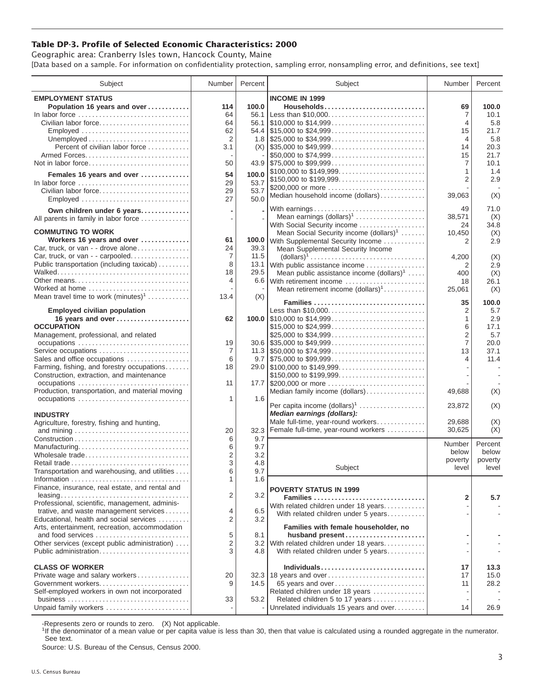## **Table DP-3. Profile of Selected Economic Characteristics: 2000**

Geographic area: Cranberry Isles town, Hancock County, Maine [Data based on a sample. For information on confidentiality protection, sampling error, nonsampling error, and definitions, see text]

| Subject                                                                            | Number                  | Percent | Subject                                                                                | Number                   | Percent |
|------------------------------------------------------------------------------------|-------------------------|---------|----------------------------------------------------------------------------------------|--------------------------|---------|
| <b>EMPLOYMENT STATUS</b>                                                           |                         |         | <b>INCOME IN 1999</b>                                                                  |                          |         |
| Population 16 years and over                                                       | 114                     | 100.0   | Households                                                                             | 69                       | 100.0   |
| In labor force                                                                     | 64                      |         | 56.1 Less than \$10,000                                                                | 7                        | 10.1    |
| Civilian labor force                                                               | 64                      |         |                                                                                        | 4                        | 5.8     |
| Employed                                                                           | 62                      |         |                                                                                        | 15                       | 21.7    |
|                                                                                    | $\overline{2}$          |         |                                                                                        |                          |         |
|                                                                                    |                         |         |                                                                                        | 4                        | 5.8     |
| Percent of civilian labor force                                                    | 3.1                     |         | $(X)$ \\ \$35,000 to \$49,999                                                          | 14                       | 20.3    |
|                                                                                    |                         |         | \$50,000 to \$74,999                                                                   | 15                       | 21.7    |
| Not in labor force                                                                 | 50                      |         |                                                                                        | 7                        | 10.1    |
| Females 16 years and over                                                          | 54                      | 100.0   | \$100,000 to \$149,999                                                                 | 1                        | 1.4     |
| In labor force $\dots\dots\dots\dots\dots\dots\dots\dots\dots\dots\dots\dots\dots$ | 29                      | 53.7    | \$150,000 to \$199,999                                                                 | $\overline{2}$           | 2.9     |
| Civilian labor force                                                               | 29                      | 53.7    | \$200,000 or more                                                                      |                          |         |
| Employed                                                                           | 27                      | 50.0    | Median household income (dollars)                                                      | 39,063                   | (X)     |
|                                                                                    |                         |         |                                                                                        |                          |         |
| Own children under 6 years                                                         |                         |         | With earnings                                                                          | 49                       | 71.0    |
| All parents in family in labor force                                               |                         |         | Mean earnings (dollars) <sup>1</sup>                                                   | 38,571                   | (X)     |
|                                                                                    |                         |         | With Social Security income                                                            | 24                       | 34.8    |
| <b>COMMUTING TO WORK</b>                                                           |                         |         | Mean Social Security income (dollars) <sup>1</sup>                                     | 10,450                   | (X)     |
| Workers 16 years and over                                                          | 61                      | 100.0   | With Supplemental Security Income                                                      | 2                        | 2.9     |
| Car, truck, or van - - drove alone                                                 | 24                      | 39.3    | Mean Supplemental Security Income                                                      |                          |         |
| Car, truck, or van - - carpooled                                                   | 7                       | 11.5    | $\text{(dollars)}^1 \dots \dots \dots \dots \dots \dots \dots \dots \dots \dots \dots$ | 4,200                    | (X)     |
| Public transportation (including taxicab)                                          | 8                       |         | 13.1 With public assistance income                                                     | 2                        | 2.9     |
|                                                                                    | 18                      | 29.5    | Mean public assistance income $(dollars)^1 \ldots$ .                                   | 400                      | (X)     |
| Other means                                                                        | 4                       |         | 6.6 With retirement income                                                             | 18                       | 26.1    |
| Worked at home                                                                     |                         |         | Mean retirement income (dollars) <sup>1</sup>                                          | 25,061                   | (X)     |
| Mean travel time to work $(minutes)^1$                                             | 13.4                    | (X)     |                                                                                        |                          |         |
|                                                                                    |                         |         | Families                                                                               | 35                       | 100.0   |
| <b>Employed civilian population</b>                                                |                         |         | Less than \$10,000                                                                     | 2                        | 5.7     |
| 16 years and over                                                                  | 62                      |         |                                                                                        | 1                        | 2.9     |
| <b>OCCUPATION</b>                                                                  |                         |         | \$15,000 to \$24,999                                                                   | 6                        | 17.1    |
| Management, professional, and related                                              |                         |         |                                                                                        | $\overline{2}$           | 5.7     |
| occupations                                                                        | 19                      |         |                                                                                        | $\overline{7}$           | 20.0    |
| Service occupations                                                                | 7                       |         |                                                                                        | 13                       | 37.1    |
| Sales and office occupations                                                       | 6                       |         | $9.7$ \\ \$75,000 to \$99,999                                                          | 4                        | 11.4    |
| Farming, fishing, and forestry occupations                                         | 18                      |         |                                                                                        |                          |         |
| Construction, extraction, and maintenance                                          |                         |         | \$150,000 to \$199,999                                                                 |                          |         |
|                                                                                    |                         |         |                                                                                        |                          |         |
| occupations                                                                        | 11                      |         | 17.7 \$200,000 or more                                                                 |                          |         |
| Production, transportation, and material moving                                    |                         |         | Median family income (dollars)                                                         | 49,688                   | (X)     |
|                                                                                    | 1                       | 1.6     | Per capita income (dollars) <sup>1</sup>                                               | 23,872                   | (X)     |
|                                                                                    |                         |         | Median earnings (dollars):                                                             |                          |         |
| <b>INDUSTRY</b>                                                                    |                         |         | Male full-time, year-round workers                                                     | 29.688                   |         |
| Agriculture, forestry, fishing and hunting,                                        |                         |         |                                                                                        |                          | (X)     |
|                                                                                    | 20                      | 32.3    | Female full-time, year-round workers                                                   | 30,625                   | (X)     |
|                                                                                    | 6                       | 9.7     |                                                                                        | Number                   | Percent |
| Manufacturing                                                                      | 6                       | 9.7     |                                                                                        | below                    | below   |
| Wholesale trade                                                                    | $\overline{\mathbf{c}}$ | 3.2     |                                                                                        | poverty                  | poverty |
| Retail trade                                                                       | 3                       | 4.8     |                                                                                        |                          |         |
| Transportation and warehousing, and utilities                                      | 6                       | 9.7     | Subject                                                                                | level                    | level   |
|                                                                                    | 1                       | 1.6     |                                                                                        |                          |         |
| Finance, insurance, real estate, and rental and                                    |                         |         | <b>POVERTY STATUS IN 1999</b>                                                          |                          |         |
| $leasing \ldots \ldots \ldots \ldots \ldots \ldots \ldots \ldots \ldots \ldots$    | 2                       | 3.2     | Families                                                                               | 2                        | 5.7     |
| Professional, scientific, management, adminis-                                     |                         |         | With related children under 18 years                                                   |                          |         |
| trative, and waste management services                                             | 4                       | 6.5     | With related children under 5 years                                                    |                          |         |
| Educational, health and social services                                            | 2                       | 3.2     |                                                                                        |                          |         |
| Arts, entertainment, recreation, accommodation                                     |                         |         | Families with female householder, no                                                   |                          |         |
| and food services                                                                  | 5                       | 8.1     | husband present                                                                        |                          |         |
| Other services (except public administration)                                      | $\overline{c}$          |         | 3.2 With related children under 18 years                                               |                          |         |
| Public administration                                                              | 3                       | 4.8     | With related children under 5 years                                                    |                          |         |
|                                                                                    |                         |         |                                                                                        |                          |         |
| <b>CLASS OF WORKER</b>                                                             |                         |         | Individuals                                                                            | 17                       | 13.3    |
| Private wage and salary workers                                                    | 20                      |         | 32.3   18 years and over                                                               | 17                       | 15.0    |
| Government workers                                                                 | 9                       | 14.5    |                                                                                        | 11                       | 28.2    |
|                                                                                    |                         |         | 65 years and over                                                                      |                          |         |
| Self-employed workers in own not incorporated                                      |                         |         | Related children under 18 years                                                        | $\overline{\phantom{a}}$ |         |
|                                                                                    | 33                      | 53.2    | Related children 5 to 17 years                                                         | $\overline{\phantom{a}}$ |         |
| Unpaid family workers                                                              |                         |         | Unrelated individuals 15 years and over                                                | 14                       | 26.9    |

-Represents zero or rounds to zero. (X) Not applicable.

<sup>1</sup>If the denominator of a mean value or per capita value is less than 30, then that value is calculated using a rounded aggregate in the numerator. See text.

Source: U.S. Bureau of the Census, Census 2000.